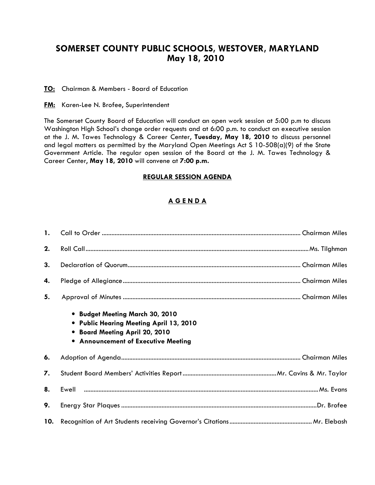# SOMERSET COUNTY PUBLIC SCHOOLS, WESTOVER, MARYLAND May 18, 2010

TO: Chairman & Members - Board of Education

**FM:** Karen-Lee N. Brofee, Superintendent

The Somerset County Board of Education will conduct an open work session at 5:00 p.m to discuss Washington High School's change order requests and at 6:00 p.m. to conduct an executive session at the J. M. Tawes Technology & Career Center, Tuesday, May 18, 2010 to discuss personnel and legal matters as permitted by the Maryland Open Meetings Act S 10-508(a)(9) of the State Government Article. The regular open session of the Board at the J. M. Tawes Technology & Career Center, May 18, 2010 will convene at 7:00 p.m.

#### REGULAR SESSION AGENDA

## A G E N D A

| 2. |                                                                                                                                                            |
|----|------------------------------------------------------------------------------------------------------------------------------------------------------------|
| 3. |                                                                                                                                                            |
| 4. |                                                                                                                                                            |
| 5. |                                                                                                                                                            |
|    | • Budget Meeting March 30, 2010<br>• Public Hearing Meeting April 13, 2010<br>• Board Meeting April 20, 2010<br><b>.</b> Announcement of Executive Meeting |
| 6. |                                                                                                                                                            |
| 7. |                                                                                                                                                            |
| 8. |                                                                                                                                                            |
| 9. |                                                                                                                                                            |
|    |                                                                                                                                                            |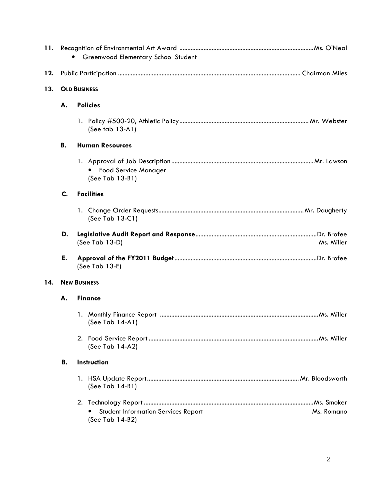|     |           | Greenwood Elementary School Student                           |            |
|-----|-----------|---------------------------------------------------------------|------------|
| 12. |           |                                                               |            |
| 13. |           | <b>OLD BUSINESS</b>                                           |            |
|     |           |                                                               |            |
|     | А.        | <b>Policies</b>                                               |            |
|     |           | (See tab $13-A1$ )                                            |            |
|     | В.        | <b>Human Resources</b>                                        |            |
|     |           | <b>Food Service Manager</b><br>٠<br>(See Tab 13-B1)           |            |
|     | C.        | <b>Facilities</b>                                             |            |
|     |           | (See Tab $13-C1$ )                                            |            |
|     | D.        | (See Tab 13-D)                                                | Ms. Miller |
|     | E.        | (See Tab 13-E)                                                |            |
| 14. |           | <b>NEW BUSINESS</b>                                           |            |
|     | А.        | <b>Finance</b>                                                |            |
|     |           | (See Tab 14-A1)                                               |            |
|     |           | (See Tab 14-A2)                                               |            |
|     | <b>B.</b> | Instruction                                                   |            |
|     |           | (See Tab 14-B1)                                               |            |
|     |           |                                                               |            |
|     |           | <b>Student Information Services Report</b><br>(See Tab 14-B2) | Ms. Romano |